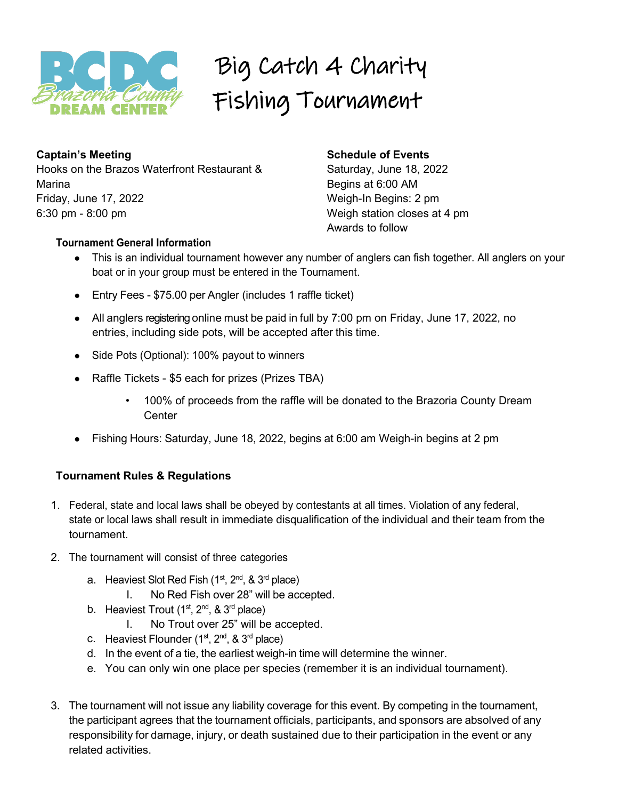

# Big Catch 4 Charity Fishing Tournament

**Captain's Meeting** Hooks on the Brazos Waterfront Restaurant & Marina Friday, June 17, 2022 6:30 pm - 8:00 pm

### **Schedule of Events**

Saturday, June 18, 2022 Begins at 6:00 AM Weigh-In Begins: 2 pm Weigh station closes at 4 pm Awards to follow

#### **Tournament General Information**

- This is an individual tournament however any number of anglers can fish together. All anglers on your boat or in your group must be entered in the Tournament.
- Entry Fees \$75.00 per Angler (includes 1 raffle ticket)
- All anglers registering online must be paid in full by 7:00 pm on Friday, June 17, 2022, no entries, including side pots, will be accepted after this time.
- Side Pots (Optional): 100% payout to winners
- Raffle Tickets \$5 each for prizes (Prizes TBA)
	- 100% of proceeds from the raffle will be donated to the Brazoria County Dream **Center**
- Fishing Hours: Saturday, June 18, 2022, begins at 6:00 am Weigh-in begins at 2 pm

#### **Tournament Rules & Regulations**

- 1. Federal, state and local laws shall be obeyed by contestants at all times. Violation of any federal, state or local laws shall result in immediate disqualification of the individual and their team from the tournament.
- 2. The tournament will consist of three categories
	- a. Heaviest Slot Red Fish  $(1^{st}, 2^{nd}, 8, 3^{rd}$  place)
		- I. No Red Fish over 28" will be accepted.
	- b. Heaviest Trout  $(1<sup>st</sup>, 2<sup>nd</sup>, 8<sup>3<sup>rd</sup></sup>$  place)
		- I. No Trout over 25" will be accepted.
	- c. Heaviest Flounder  $(1<sup>st</sup>, 2<sup>nd</sup>, 8<sup>3<sup>rd</sup></sup>$  place)
	- d. In the event of a tie, the earliest weigh-in time will determine the winner.
	- e. You can only win one place per species (remember it is an individual tournament).
- 3. The tournament will not issue any liability coverage for this event. By competing in the tournament, the participant agrees that the tournament officials, participants, and sponsors are absolved of any responsibility for damage, injury, or death sustained due to their participation in the event or any related activities.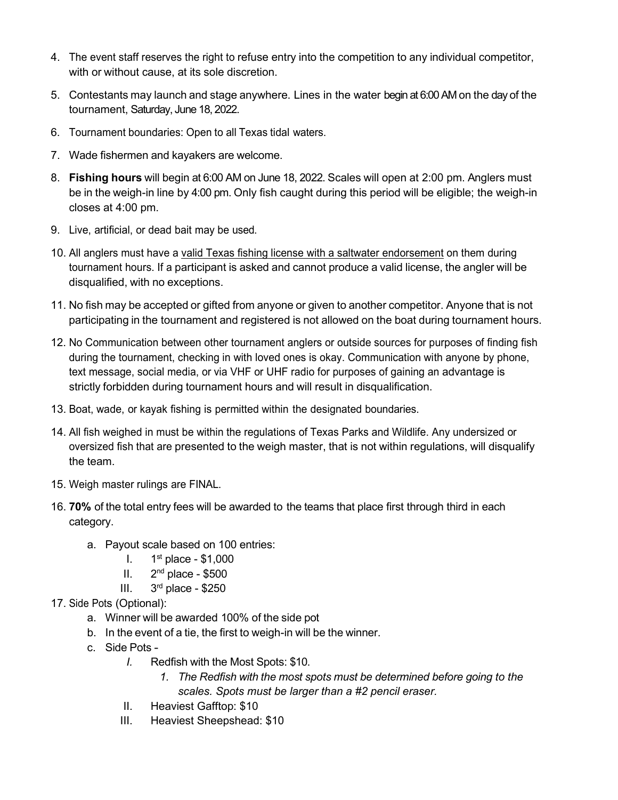- 4. The event staff reserves the right to refuse entry into the competition to any individual competitor, with or without cause, at its sole discretion.
- 5. Contestants may launch and stage anywhere. Lines in the water begin at 6:00 AM on the day of the tournament, Saturday, June 18, 2022.
- 6. Tournament boundaries: Open to all Texas tidal waters.
- 7. Wade fishermen and kayakers are welcome.
- 8. **Fishing hours** will begin at 6:00 AM on June 18, 2022. Scales will open at 2:00 pm. Anglers must be in the weigh-in line by 4:00 pm. Only fish caught during this period will be eligible; the weigh-in closes at 4:00 pm.
- 9. Live, artificial, or dead bait may be used.
- 10. All anglers must have a valid Texas fishing license with a saltwater endorsement on them during tournament hours. If a participant is asked and cannot produce a valid license, the angler will be disqualified, with no exceptions.
- 11. No fish may be accepted or gifted from anyone or given to another competitor. Anyone that is not participating in the tournament and registered is not allowed on the boat during tournament hours.
- 12. No Communication between other tournament anglers or outside sources for purposes of finding fish during the tournament, checking in with loved ones is okay. Communication with anyone by phone, text message, social media, or via VHF or UHF radio for purposes of gaining an advantage is strictly forbidden during tournament hours and will result in disqualification.
- 13. Boat, wade, or kayak fishing is permitted within the designated boundaries.
- 14. All fish weighed in must be within the regulations of Texas Parks and Wildlife. Any undersized or oversized fish that are presented to the weigh master, that is not within regulations, will disqualify the team.
- 15. Weigh master rulings are FINAL.
- 16. **70%** of the total entry fees will be awarded to the teams that place first through third in each category.
	- a. Payout scale based on 100 entries:
		- I.  $1^{\text{st}}$  place \$1,000
		- II.  $2<sup>nd</sup>$  place \$500
		- III.  $3<sup>rd</sup>$  place \$250
- 17. Side Pots (Optional):
	- a. Winner will be awarded 100% of the side pot
	- b. In the event of a tie, the first to weigh-in will be the winner.
	- c. Side Pots
		- *I.* Redfish with the Most Spots: \$10.
			- *1. The Redfish with the most spots must be determined before going to the scales. Spots must be larger than a #2 pencil eraser.*
		- II. Heaviest Gafftop: \$10
		- III. Heaviest Sheepshead: \$10